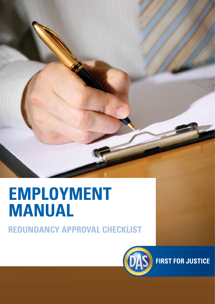

# **EMPLOYMENT MANUAL**

**REDUNDANCY APPROVAL CHECKLIST**



**FIRST FOR JUSTICE**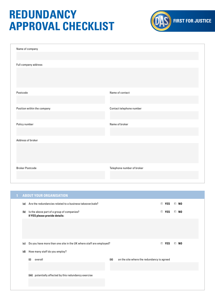## **REDUNDANCY APPROVAL CHECKLIST**



| Name of company             |                            |
|-----------------------------|----------------------------|
| Full company address        |                            |
|                             |                            |
|                             |                            |
| Postcode                    | Name of contact            |
|                             |                            |
| Position within the company | Contact telephone number   |
|                             | Name of broker             |
| Policy number               |                            |
| Address of broker           |                            |
|                             |                            |
|                             |                            |
| <b>Broker Postcode</b>      | Telephone number of broker |
|                             |                            |

| <b>ABOUT YOUR ORGANISATION</b><br>1<br>Are the redundancies related to a business takeover/sale?<br>$\Box$ YES<br>$\Box$ No<br>(a)<br>Is the above part of a group of companies?<br>$\Box$ YES<br>$\Box$ No<br>(b)<br>If YES please provide details:<br>Do you have more than one site in the UK where staff are employed?<br>$\Box$ YES<br>$\Box$ NO<br>(c)<br>How many staff do you employ?<br>(d)<br>(ii)<br>(i)<br>on the site where the redundancy is agreed<br>overall |  |  |  |
|------------------------------------------------------------------------------------------------------------------------------------------------------------------------------------------------------------------------------------------------------------------------------------------------------------------------------------------------------------------------------------------------------------------------------------------------------------------------------|--|--|--|
|                                                                                                                                                                                                                                                                                                                                                                                                                                                                              |  |  |  |
|                                                                                                                                                                                                                                                                                                                                                                                                                                                                              |  |  |  |
|                                                                                                                                                                                                                                                                                                                                                                                                                                                                              |  |  |  |
|                                                                                                                                                                                                                                                                                                                                                                                                                                                                              |  |  |  |
|                                                                                                                                                                                                                                                                                                                                                                                                                                                                              |  |  |  |
|                                                                                                                                                                                                                                                                                                                                                                                                                                                                              |  |  |  |
|                                                                                                                                                                                                                                                                                                                                                                                                                                                                              |  |  |  |
|                                                                                                                                                                                                                                                                                                                                                                                                                                                                              |  |  |  |
|                                                                                                                                                                                                                                                                                                                                                                                                                                                                              |  |  |  |
|                                                                                                                                                                                                                                                                                                                                                                                                                                                                              |  |  |  |
| (iii) potentially affected by this redundancy exercise                                                                                                                                                                                                                                                                                                                                                                                                                       |  |  |  |
|                                                                                                                                                                                                                                                                                                                                                                                                                                                                              |  |  |  |
|                                                                                                                                                                                                                                                                                                                                                                                                                                                                              |  |  |  |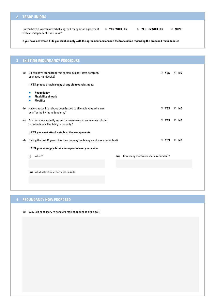#### **2 TRADE UNIONS**

 Do you have a written or verbally agreed recognition agreement **YES, WRITTEN YES, UNWRITTEN NONE** with an independent trade union?

**If you have answered YES, you must comply with the agreement and consult the trade union regarding the proposed redundancies**

| 3   | <b>EXISTING REDUNDANCY PROCEDURE</b>                                                                        |      |                                     |           |
|-----|-------------------------------------------------------------------------------------------------------------|------|-------------------------------------|-----------|
| (a) | Do you have standard terms of employment/staff contract/<br>employee handbooks?                             |      | $\Box$ YES                          | $\Box$ NO |
|     | If YES, please attach a copy of any clauses relating to:                                                    |      |                                     |           |
|     | Redundancy<br>a.<br><b>Flexibility of work</b><br>H.<br><b>Mobility</b><br>a.                               |      |                                     |           |
| (b) | Have clauses in a) above been issued to all employees who may<br>be affected by the redundancy?             |      | $\Box$ YES                          | $\Box$ NO |
| (c) | Are there any verbally agreed or customary arrangements relating<br>to redundancy, flexibility or mobility? |      | $\Box$ YES                          | $\Box$ NO |
|     | If YES, you must attach details of the arrangements.                                                        |      |                                     |           |
| (d) | During the last 10 years, has the company made any employees redundant?                                     |      | $\Box$ YES                          | $\Box$ NO |
|     | If YES, please supply details in respect of every occasion:                                                 |      |                                     |           |
|     | (i)<br>when?                                                                                                | (ii) | how many staff were made redundant? |           |
|     |                                                                                                             |      |                                     |           |
|     | (iii) what selection criteria was used?                                                                     |      |                                     |           |
|     |                                                                                                             |      |                                     |           |
|     |                                                                                                             |      |                                     |           |

### **4 REDUNDANCY NOW PROPOSED**

(**a)** Why is it necessary to consider making redundancies now?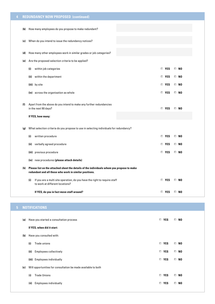| 4              |     | <b>REDUNDANCY NOW PROPOSED (continued)</b>                                                                          |            |           |  |
|----------------|-----|---------------------------------------------------------------------------------------------------------------------|------------|-----------|--|
|                | (b) | How many employees do you propose to make redundant?                                                                |            |           |  |
|                |     |                                                                                                                     |            |           |  |
|                | (c) | When do you intend to issue the redundancy notices?                                                                 |            |           |  |
|                | (d) | How many other employees work in similar grades or job categories?                                                  |            |           |  |
|                | (e) | Are the proposed selection criteria to be applied?                                                                  |            |           |  |
|                |     | within job categories<br>(i)                                                                                        | $\Box$ YES | $\Box$ No |  |
|                |     | (ii) within the department                                                                                          | $\Box$ YES | $\Box$ No |  |
|                |     | (iii) by site                                                                                                       | $\Box$ YES | $\Box$ No |  |
|                |     | (iv) across the organisation as whole                                                                               | $\Box$ YES | $\Box$ No |  |
|                |     |                                                                                                                     |            |           |  |
|                | (f) | Apart from the above do you intend to make any further redundancies<br>in the next 90 days?                         | $\Box$ YES | $\Box$ No |  |
|                |     | If YES, how many:                                                                                                   |            |           |  |
|                | (g) | What selection criteria do you propose to use in selecting individuals for redundancy?                              |            |           |  |
|                |     | written procedure<br>(i)                                                                                            | $\Box$ YES | $\Box$ No |  |
|                |     | verbally agreed procedure<br>(ii)                                                                                   | $\Box$ YES | $\Box$ No |  |
|                |     | (iii) previous procedure                                                                                            | $\Box$ YES | $\Box$ No |  |
|                |     | (iv) new procedures (please attach details)                                                                         |            |           |  |
|                | (h) | Please list on the attached sheet the details of the individuals whom you propose to make                           |            |           |  |
|                |     | redundant and all those who work in similar positions.                                                              |            |           |  |
|                |     | If you are a multi site operation, do you have the right to require staff<br>(i)<br>to work at different locations? | $\Box$ YES | $\Box$ No |  |
|                |     | If YES, do you in fact move staff around?                                                                           | $\Box$ YES | $\Box$ NO |  |
|                |     |                                                                                                                     |            |           |  |
| 5 <sub>1</sub> |     | <b>NOTIFICATIONS</b>                                                                                                |            |           |  |
|                |     |                                                                                                                     |            |           |  |
|                | (a) | Have you started a consultation process                                                                             | $\Box$ YES | $\Box$ No |  |
|                | (b) | If YES, when did it start:<br>Have you consulted with:                                                              |            |           |  |
|                |     |                                                                                                                     |            |           |  |

 **(i)** Trade unions **YES NO (ii)** Employees collectively **YES NO (iii)** Employees individually **YES NO (c)** Will opportunities for consultation be made available to both (**i)** Trade Unions **YES NO** (**ii)** Employees individually **YES NO**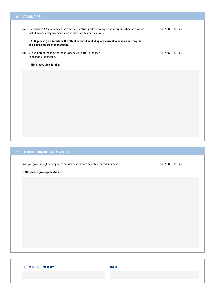#### **6 VACANCIES**

| (a) | Do you have ANY vacancies (at whatever status, grade or salary) in your organisation as a whole,<br>including any company mentioned in question 1a and 1b above? |            | $\Box$ YES $\Box$ NO |
|-----|------------------------------------------------------------------------------------------------------------------------------------------------------------------|------------|----------------------|
|     | If YES, please give details on the attached sheet, including any current vacancies and any that<br>you may be aware of in the future.                            |            |                      |
| (b) | Are you prepared to offer these vacancies to staff proposed<br>to be made redundant?                                                                             | $\Box$ YES | $\Box$ No            |
|     | If NO, please give details:                                                                                                                                      |            |                      |
|     |                                                                                                                                                                  |            |                      |
|     |                                                                                                                                                                  |            |                      |
|     |                                                                                                                                                                  |            |                      |
|     |                                                                                                                                                                  |            |                      |
|     |                                                                                                                                                                  |            |                      |
|     |                                                                                                                                                                  |            |                      |

### **7 OTHER PROCEDURAL MATTERS**

Will you give the right of appeal to employees who are selected for redundancy? **Will you give the right of appeal to employees who are selected for redundancy?** 

#### **If NO, please give explanation:**

| <b>FORM RETURNED BY:</b> | <b>DATE:</b> |  |
|--------------------------|--------------|--|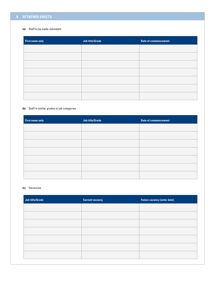#### **8 ATTACHED SHEETS**

#### **(a)** Staff to be made redundant

| <b>First name only</b> | <b>Job title/Grade</b> | <b>Date of commencement</b> |
|------------------------|------------------------|-----------------------------|
|                        |                        |                             |
|                        |                        |                             |
|                        |                        |                             |
|                        |                        |                             |
|                        |                        |                             |
|                        |                        |                             |
|                        |                        |                             |

#### **(b)** Staff in similar grades or job categories

| <b>First name only</b> | <b>Job title/Grade</b> | <b>Date of commencement</b> |
|------------------------|------------------------|-----------------------------|
|                        |                        |                             |
|                        |                        |                             |
|                        |                        |                             |
|                        |                        |                             |
|                        |                        |                             |
|                        |                        |                             |
|                        |                        |                             |

#### **(c)** Vacancies

| <b>Job title/Grade</b> | <b>Current vacancy</b> | <b>Future vacancy (enter date)</b> |
|------------------------|------------------------|------------------------------------|
|                        |                        |                                    |
|                        |                        |                                    |
|                        |                        |                                    |
|                        |                        |                                    |
|                        |                        |                                    |
|                        |                        |                                    |
|                        |                        |                                    |
|                        |                        |                                    |